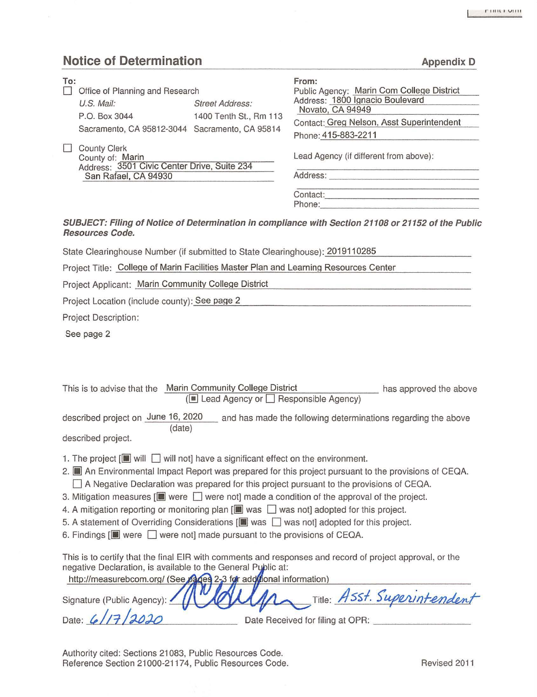**Appendix D** 

# **Notice of Determination**

| To: | Office of Planning and Research                                                        |                        | From:<br>Public Agency: Marin Com College District<br>Address: 1800 Ignacio Boulevard |  |
|-----|----------------------------------------------------------------------------------------|------------------------|---------------------------------------------------------------------------------------|--|
|     | U.S. Mail:                                                                             | <b>Street Address:</b> | Novato, CA 94949                                                                      |  |
|     | P.O. Box 3044                                                                          | 1400 Tenth St., Rm 113 | Contact: Greg Nelson, Asst Superintendent                                             |  |
|     | Sacramento, CA 95812-3044 Sacramento, CA 95814                                         |                        | Phone: 415-883-2211                                                                   |  |
|     | <b>County Clerk</b><br>County of: Marin<br>Address: 3501 Civic Center Drive, Suite 234 |                        | Lead Agency (if different from above):                                                |  |
|     | San Rafael, CA 94930                                                                   |                        | Address:                                                                              |  |
|     |                                                                                        |                        | Contact:                                                                              |  |
|     |                                                                                        |                        | Phone:                                                                                |  |

#### **SUBJECT: Filing of Notice of Determination in compliance with Section 21108 or 21152 of the Public Resources Code.**

State Clearinghouse Number (if submitted to State Clearinghouse): 2019110285

Project Title: College of Marin Facilities Master Plan and Learning Resources Center

Project Applicant: Marin Community Colleqe District

Project Location (include county): See page 2

Project Description:

See page 2

| This is to advise that the Marin Community College District                                                                    |        |  |                                         | has approved the above                                                                                   |  |  |  |
|--------------------------------------------------------------------------------------------------------------------------------|--------|--|-----------------------------------------|----------------------------------------------------------------------------------------------------------|--|--|--|
|                                                                                                                                |        |  | (■ Lead Agency or □ Responsible Agency) |                                                                                                          |  |  |  |
| described project on June 16, 2020                                                                                             | (date) |  |                                         | and has made the following determinations regarding the above                                            |  |  |  |
| described project.                                                                                                             |        |  |                                         |                                                                                                          |  |  |  |
| 1. The project $[\blacksquare]$ will $\blacksquare$ will not] have a significant effect on the environment.                    |        |  |                                         |                                                                                                          |  |  |  |
| 2. An Environmental Impact Report was prepared for this project pursuant to the provisions of CEQA.                            |        |  |                                         |                                                                                                          |  |  |  |
|                                                                                                                                |        |  |                                         | A Negative Declaration was prepared for this project pursuant to the provisions of CEQA.                 |  |  |  |
| 3. Mitigation measures $[\blacksquare]$ were $\Box$ were not made a condition of the approval of the project.                  |        |  |                                         |                                                                                                          |  |  |  |
| 4. A mitigation reporting or monitoring plan $[\blacksquare \backsquare$ was $\blacksquare$ was not] adopted for this project. |        |  |                                         |                                                                                                          |  |  |  |
| 5. A statement of Overriding Considerations [III] was not adopted for this project.                                            |        |  |                                         |                                                                                                          |  |  |  |
| 6. Findings $[\blacksquare]$ were $\Box$ were not] made pursuant to the provisions of CEQA.                                    |        |  |                                         |                                                                                                          |  |  |  |
| negative Declaration, is available to the General Public at:                                                                   |        |  |                                         | This is to certify that the final EIR with comments and responses and record of project approval, or the |  |  |  |
| http://measurebcom.org/ (See pages 2-3 for additional information)                                                             |        |  |                                         |                                                                                                          |  |  |  |
| Signature (Public Agency)                                                                                                      |        |  |                                         | Title: ASSt. Superintendent                                                                              |  |  |  |

Date:  $(17/2020)$  Date Received for filing at OPR:

Authority cited: Sections 21083, Public Resources Code. Reference Section 21000-21174, Public Resources Code. The Contract Revised 2011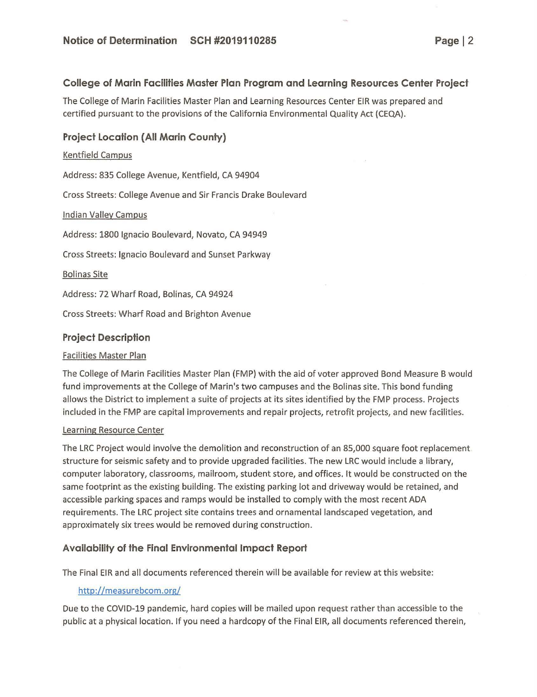## **College of Marin Facilities Master Plan Program and Learning Resources Center Project**

The College of Marin Facilities Master Plan and Learning Resources Center EIR was prepared and certified pursuant to the provisions of the California Environmental Quality Act (CEQA).

## **Project Location (All Marin County)**

#### Kentfield Campus

Address: 835 College Avenue, Kentfield, CA 94904

Cross Streets: College Avenue and Sir Francis Drake Boulevard

#### Indian Valley Campus

Address: 1800 Ignacio Boulevard, Novato, CA 94949

Cross Streets: Ignacio Boulevard and Sunset Parkway

**Bolinas Site** 

Address: 72 Wharf Road, Bolinas, CA 94924

Cross Streets: Wharf Road and Brighton Avenue

## **Project Description**

#### Facilities Master Plan

The College of Marin Facilities Master Plan (FMP) with the aid of voter approved Bond Measure B would fund improvements at the College of Marin's two campuses and the Solinas site. This bond funding allows the District to implement a suite of projects at its sites identified by the FMP process. Projects included in the FMP are capital improvements and repair projects, retrofit projects, and new facilities.

#### Learning Resource Center

The LRC Project would involve the demolition and reconstruction of an 85,000 square foot replacement structure for seismic safety and to provide upgraded facilities. The new LRC would include a library, computer laboratory, classrooms, mailroom, student store, and offices. It would be constructed on the same footprint as the existing building. The existing parking lot and driveway would be retained, and accessible parking spaces and ramps would be installed to comply with the most recent ADA requirements. The LRC project site contains trees and ornamental landscaped vegetation, and approximately six trees would be removed during construction.

## **Availability of the Final Environmental Impact Report**

The Final EIR and all documents referenced therein will be available for review at this website:

## http://measurebcom.org/

Due to the COVID-19 pandemic, hard copies will be mailed upon request rather than accessible to the public at a physical location. If you need a hardcopy of the Final EIR, all documents referenced therein,